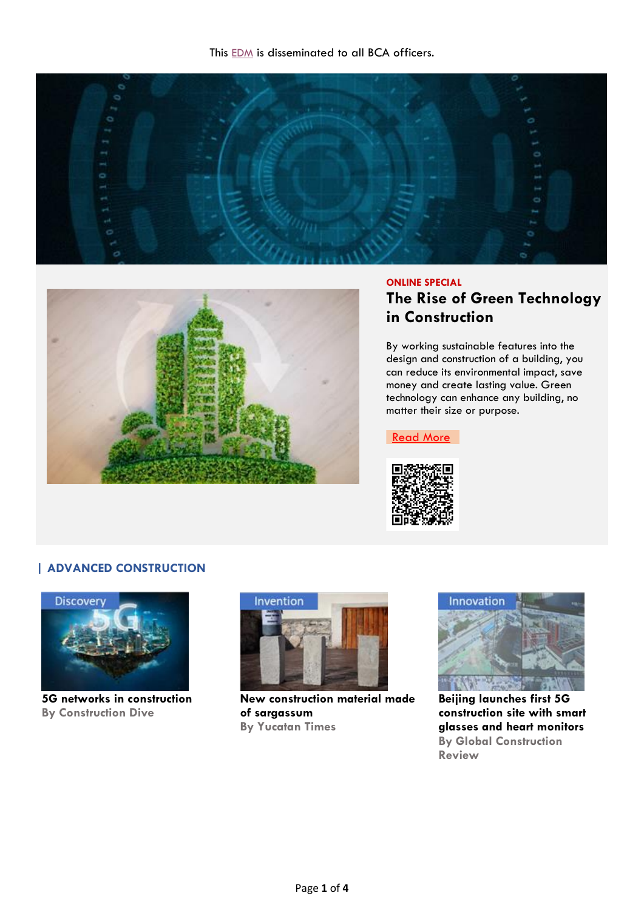



### **ONLINE SPECIAL**

# **The Rise of Green Technology in Construction**

By working sustainable features into the design and construction of a building, you can reduce its environmental impact, save money and create lasting value. Green technology can enhance any building, no matter their size or purpose.

[Read More](https://designbuild.nridigital.com/design_build_review_april19/the_rise_of_green_technology_in_construction)



# **| ADVANCED CONSTRUCTION**



**5G networks in construction By Construction Dive**



**New construction material made of sargassum By Yucatan Times**



**Beijing launches first 5G construction site with smart glasses and heart monitors By Global Construction Review**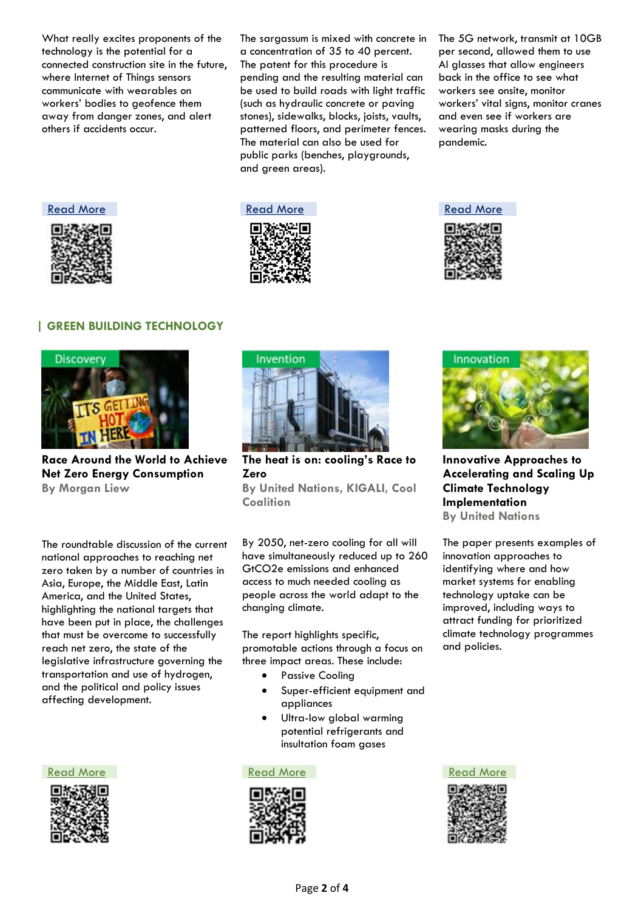What really excites proponents of the technology is the potential for a connected construction site in the future, where Internet of Things sensors communicate with wearables on workers' bodies to geofence them away from danger zones, and alert others if accidents occur.

The sargassum is mixed with concrete in a concentration of 35 to 40 percent. The patent for this procedure is pending and the resulting material can be used to build roads with light traffic (such as hydraulic concrete or paving stones), sidewalks, blocks, joists, vaults, patterned floors, and perimeter fences. The material can also be used for public parks (benches, playgrounds, and green areas).

The 5G network, transmit at 10GB per second, allowed them to use AI glasses that allow engineers back in the office to see what workers see onsite, monitor workers' vital signs, monitor cranes and even see if workers are wearing masks during the pandemic.





**Coalition**



### **| GREEN BUILDING TECHNOLOGY**



**Race Around the World to Achieve Net Zero Energy Consumption By Morgan Liew**

The roundtable discussion of the current national approaches to reaching net zero taken by a number of countries in Asia, Europe, the Middle East, Latin America, and the United States, highlighting the national targets that have been put in place, the challenges that must be overcome to successfully reach net zero, the state of the legislative infrastructure governing the transportation and use of hydrogen, and the political and policy issues affecting development.





**The heat is on: cooling's Race to Zero By United Nations, KIGALI, Cool** 

By 2050, net-zero cooling for all will have simultaneously reduced up to 260 GtCO2e emissions and enhanced access to much needed cooling as people across the world adapt to the

The report highlights specific, promotable actions through a focus on three impact areas. These include:

Passive Cooling

changing climate.

- Super-efficient equipment and appliances
- Ultra-low global warming potential refrigerants and insultation foam gases







**Innovative Approaches to Accelerating and Scaling Up Climate Technology Implementation By United Nations**

The paper presents examples of innovation approaches to identifying where and how market systems for enabling technology uptake can be improved, including ways to attract funding for prioritized climate technology programmes and policies.

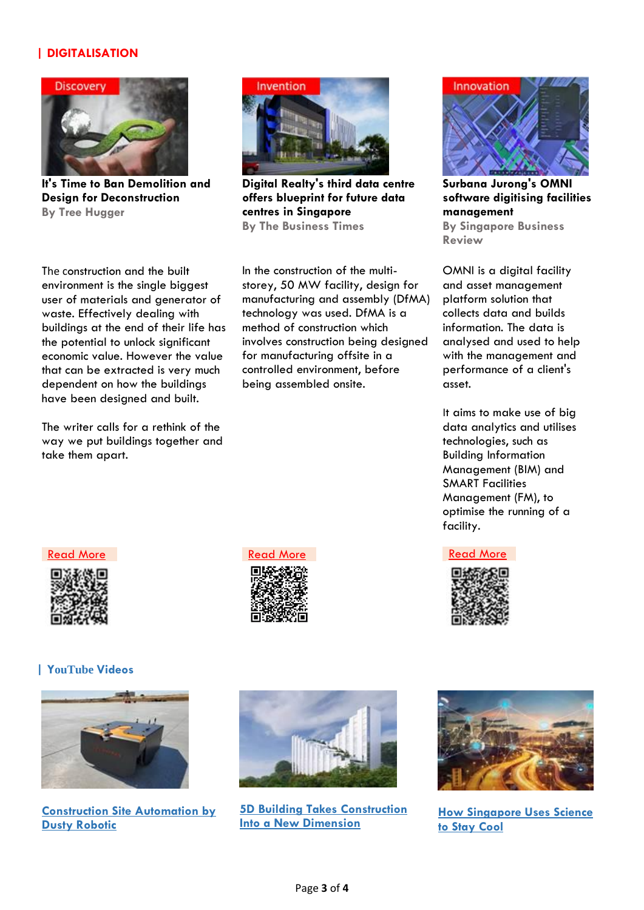## **| DIGITALISATION**



**It's Time to Ban Demolition and Design for Deconstruction By Tree Hugger**



**Digital Realty's third data centre offers blueprint for future data centres in Singapore By The Business Times** 

The construction and the built environment is the single biggest user of materials and generator of waste. Effectively dealing with buildings at the end of their life has the potential to unlock significant economic value. However the value that can be extracted is very much dependent on how the buildings have been designed and built.

The writer calls for a rethink of the way we put buildings together and take them apart.

In the construction of the multistorey, 50 MW facility, design for manufacturing and assembly (DfMA) technology was used. DfMA is a method of construction which involves construction being designed for manufacturing offsite in a controlled environment, before being assembled onsite.



**Surbana Jurong's OMNI software digitising facilities management By Singapore Business Review**

OMNI is a digital facility and asset management platform solution that collects data and builds information. The data is analysed and used to help with the management and performance of a client's asset.

It aims to make use of big data analytics and utilises technologies, such as Building Information Management (BIM) and SMART Facilities Management (FM), to optimise the running of a facility.



### **| YouTube Videos**



**[Construction Site Automation by](https://youtu.be/YaU-oIb_R0o)  [Dusty Robotic](https://youtu.be/YaU-oIb_R0o)**





**[5D Building Takes Construction](https://youtu.be/OoiUELoLGlw)  [Into a New Dimension](https://youtu.be/OoiUELoLGlw)**



**[How Singapore Uses Science](https://www.youtube.com/watch?v=PM101DvvG4Q)  [to Stay Cool](https://www.youtube.com/watch?v=PM101DvvG4Q)**